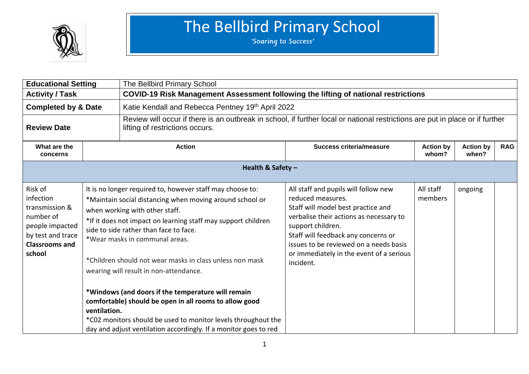

| <b>Educational Setting</b>                                                                                                     |              | The Bellbird Primary School                                                                                                                                                                                                                                                                                                                                                                                                                                                                                                |                                                                                                                                                                                                                                                                                                           |                           |                           |            |  |  |
|--------------------------------------------------------------------------------------------------------------------------------|--------------|----------------------------------------------------------------------------------------------------------------------------------------------------------------------------------------------------------------------------------------------------------------------------------------------------------------------------------------------------------------------------------------------------------------------------------------------------------------------------------------------------------------------------|-----------------------------------------------------------------------------------------------------------------------------------------------------------------------------------------------------------------------------------------------------------------------------------------------------------|---------------------------|---------------------------|------------|--|--|
| <b>Activity / Task</b>                                                                                                         |              | COVID-19 Risk Management Assessment following the lifting of national restrictions                                                                                                                                                                                                                                                                                                                                                                                                                                         |                                                                                                                                                                                                                                                                                                           |                           |                           |            |  |  |
| <b>Completed by &amp; Date</b>                                                                                                 |              | Katie Kendall and Rebecca Pentney 19th April 2022                                                                                                                                                                                                                                                                                                                                                                                                                                                                          |                                                                                                                                                                                                                                                                                                           |                           |                           |            |  |  |
| <b>Review Date</b>                                                                                                             |              | lifting of restrictions occurs.                                                                                                                                                                                                                                                                                                                                                                                                                                                                                            | Review will occur if there is an outbreak in school, if further local or national restrictions are put in place or if further                                                                                                                                                                             |                           |                           |            |  |  |
| What are the<br>concerns                                                                                                       |              | <b>Action</b>                                                                                                                                                                                                                                                                                                                                                                                                                                                                                                              | <b>Success criteria/measure</b>                                                                                                                                                                                                                                                                           | <b>Action by</b><br>whom? | <b>Action by</b><br>when? | <b>RAG</b> |  |  |
|                                                                                                                                |              | Health & Safety -                                                                                                                                                                                                                                                                                                                                                                                                                                                                                                          |                                                                                                                                                                                                                                                                                                           |                           |                           |            |  |  |
| Risk of<br>infection<br>transmission &<br>number of<br>people impacted<br>by test and trace<br><b>Classrooms and</b><br>school | ventilation. | It is no longer required to, however staff may choose to:<br>*Maintain social distancing when moving around school or<br>when working with other staff.<br>*If it does not impact on learning staff may support children<br>side to side rather than face to face.<br>*Wear masks in communal areas.<br>*Children should not wear masks in class unless non mask<br>wearing will result in non-attendance.<br>*Windows (and doors if the temperature will remain<br>comfortable) should be open in all rooms to allow good | All staff and pupils will follow new<br>reduced measures.<br>Staff will model best practice and<br>verbalise their actions as necessary to<br>support children.<br>Staff will feedback any concerns or<br>issues to be reviewed on a needs basis<br>or immediately in the event of a serious<br>incident. | All staff<br>members      | ongoing                   |            |  |  |
|                                                                                                                                |              | *C02 monitors should be used to monitor levels throughout the<br>day and adjust ventilation accordingly. If a monitor goes to red                                                                                                                                                                                                                                                                                                                                                                                          |                                                                                                                                                                                                                                                                                                           |                           |                           |            |  |  |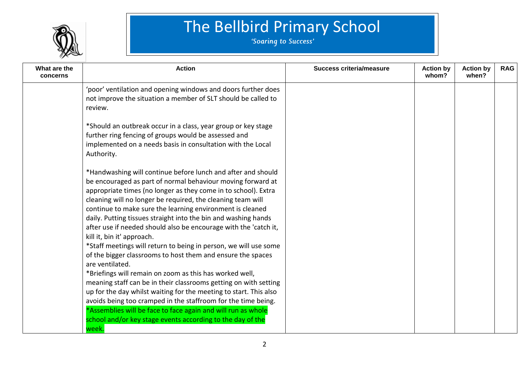

| What are the<br>concerns | <b>Action</b>                                                                                                                                                                                                                                                                                                                                                                                                                                                                                                                                                                                                                                                                                                                                                                                                                                                                                                                                                                                                                                          | <b>Success criteria/measure</b> | <b>Action by</b><br>whom? | <b>Action by</b><br>when? | <b>RAG</b> |
|--------------------------|--------------------------------------------------------------------------------------------------------------------------------------------------------------------------------------------------------------------------------------------------------------------------------------------------------------------------------------------------------------------------------------------------------------------------------------------------------------------------------------------------------------------------------------------------------------------------------------------------------------------------------------------------------------------------------------------------------------------------------------------------------------------------------------------------------------------------------------------------------------------------------------------------------------------------------------------------------------------------------------------------------------------------------------------------------|---------------------------------|---------------------------|---------------------------|------------|
|                          | 'poor' ventilation and opening windows and doors further does<br>not improve the situation a member of SLT should be called to<br>review.                                                                                                                                                                                                                                                                                                                                                                                                                                                                                                                                                                                                                                                                                                                                                                                                                                                                                                              |                                 |                           |                           |            |
|                          | *Should an outbreak occur in a class, year group or key stage<br>further ring fencing of groups would be assessed and<br>implemented on a needs basis in consultation with the Local<br>Authority.                                                                                                                                                                                                                                                                                                                                                                                                                                                                                                                                                                                                                                                                                                                                                                                                                                                     |                                 |                           |                           |            |
|                          | *Handwashing will continue before lunch and after and should<br>be encouraged as part of normal behaviour moving forward at<br>appropriate times (no longer as they come in to school). Extra<br>cleaning will no longer be required, the cleaning team will<br>continue to make sure the learning environment is cleaned<br>daily. Putting tissues straight into the bin and washing hands<br>after use if needed should also be encourage with the 'catch it,<br>kill it, bin it' approach.<br>*Staff meetings will return to being in person, we will use some<br>of the bigger classrooms to host them and ensure the spaces<br>are ventilated.<br>*Briefings will remain on zoom as this has worked well,<br>meaning staff can be in their classrooms getting on with setting<br>up for the day whilst waiting for the meeting to start. This also<br>avoids being too cramped in the staffroom for the time being.<br>*Assemblies will be face to face again and will run as whole<br>school and/or key stage events according to the day of the |                                 |                           |                           |            |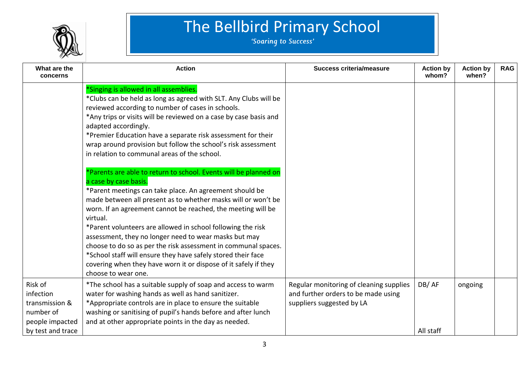

| What are the                                                                                | <b>Action</b>                                                                                                                                                                                                                                                                                                                                                                                                                                                                                                                                                                                                                                                                                                                                                                                                                                                                                                                                                                                                                                                                                          | <b>Success criteria/measure</b>                                                                             | <b>Action by</b>   | <b>Action by</b> | <b>RAG</b> |
|---------------------------------------------------------------------------------------------|--------------------------------------------------------------------------------------------------------------------------------------------------------------------------------------------------------------------------------------------------------------------------------------------------------------------------------------------------------------------------------------------------------------------------------------------------------------------------------------------------------------------------------------------------------------------------------------------------------------------------------------------------------------------------------------------------------------------------------------------------------------------------------------------------------------------------------------------------------------------------------------------------------------------------------------------------------------------------------------------------------------------------------------------------------------------------------------------------------|-------------------------------------------------------------------------------------------------------------|--------------------|------------------|------------|
| concerns                                                                                    |                                                                                                                                                                                                                                                                                                                                                                                                                                                                                                                                                                                                                                                                                                                                                                                                                                                                                                                                                                                                                                                                                                        |                                                                                                             | whom?              | when?            |            |
|                                                                                             | *Singing is allowed in all assemblies.<br>*Clubs can be held as long as agreed with SLT. Any Clubs will be<br>reviewed according to number of cases in schools.<br>*Any trips or visits will be reviewed on a case by case basis and<br>adapted accordingly.<br>*Premier Education have a separate risk assessment for their<br>wrap around provision but follow the school's risk assessment<br>in relation to communal areas of the school.<br>*Parents are able to return to school. Events will be planned on<br>a case by case basis.<br>*Parent meetings can take place. An agreement should be<br>made between all present as to whether masks will or won't be<br>worn. If an agreement cannot be reached, the meeting will be<br>virtual.<br>*Parent volunteers are allowed in school following the risk<br>assessment, they no longer need to wear masks but may<br>choose to do so as per the risk assessment in communal spaces.<br>*School staff will ensure they have safely stored their face<br>covering when they have worn it or dispose of it safely if they<br>choose to wear one. |                                                                                                             |                    |                  |            |
| Risk of<br>infection<br>transmission &<br>number of<br>people impacted<br>by test and trace | *The school has a suitable supply of soap and access to warm<br>water for washing hands as well as hand sanitizer.<br>*Appropriate controls are in place to ensure the suitable<br>washing or sanitising of pupil's hands before and after lunch<br>and at other appropriate points in the day as needed.                                                                                                                                                                                                                                                                                                                                                                                                                                                                                                                                                                                                                                                                                                                                                                                              | Regular monitoring of cleaning supplies<br>and further orders to be made using<br>suppliers suggested by LA | DB/AF<br>All staff | ongoing          |            |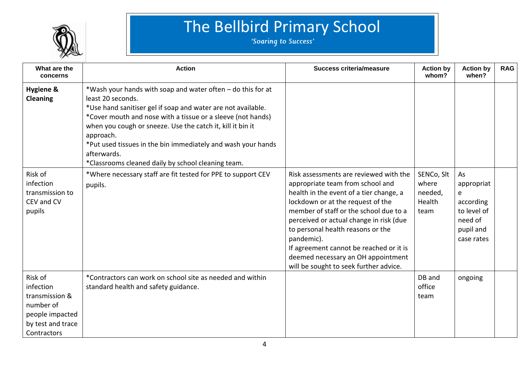

| What are the<br>concerns                                                                                   | <b>Action</b>                                                                                                                                                                                                                                                                                                                                                                                                                   | <b>Success criteria/measure</b>                                                                                                                                                                                                                                                                                                                                                                                               | <b>Action by</b><br>whom?                        | <b>Action by</b><br>when?                                                               | <b>RAG</b> |
|------------------------------------------------------------------------------------------------------------|---------------------------------------------------------------------------------------------------------------------------------------------------------------------------------------------------------------------------------------------------------------------------------------------------------------------------------------------------------------------------------------------------------------------------------|-------------------------------------------------------------------------------------------------------------------------------------------------------------------------------------------------------------------------------------------------------------------------------------------------------------------------------------------------------------------------------------------------------------------------------|--------------------------------------------------|-----------------------------------------------------------------------------------------|------------|
| <b>Hygiene &amp;</b><br><b>Cleaning</b>                                                                    | *Wash your hands with soap and water often - do this for at<br>least 20 seconds.<br>*Use hand sanitiser gel if soap and water are not available.<br>*Cover mouth and nose with a tissue or a sleeve (not hands)<br>when you cough or sneeze. Use the catch it, kill it bin it<br>approach.<br>*Put used tissues in the bin immediately and wash your hands<br>afterwards.<br>*Classrooms cleaned daily by school cleaning team. |                                                                                                                                                                                                                                                                                                                                                                                                                               |                                                  |                                                                                         |            |
| Risk of<br>infection<br>transmission to<br>CEV and CV<br>pupils                                            | *Where necessary staff are fit tested for PPE to support CEV<br>pupils.                                                                                                                                                                                                                                                                                                                                                         | Risk assessments are reviewed with the<br>appropriate team from school and<br>health in the event of a tier change, a<br>lockdown or at the request of the<br>member of staff or the school due to a<br>perceived or actual change in risk (due<br>to personal health reasons or the<br>pandemic).<br>If agreement cannot be reached or it is<br>deemed necessary an OH appointment<br>will be sought to seek further advice. | SENCo, Slt<br>where<br>needed,<br>Health<br>team | As<br>appropriat<br>e<br>according<br>to level of<br>need of<br>pupil and<br>case rates |            |
| Risk of<br>infection<br>transmission &<br>number of<br>people impacted<br>by test and trace<br>Contractors | *Contractors can work on school site as needed and within<br>standard health and safety guidance.                                                                                                                                                                                                                                                                                                                               |                                                                                                                                                                                                                                                                                                                                                                                                                               | DB and<br>office<br>team                         | ongoing                                                                                 |            |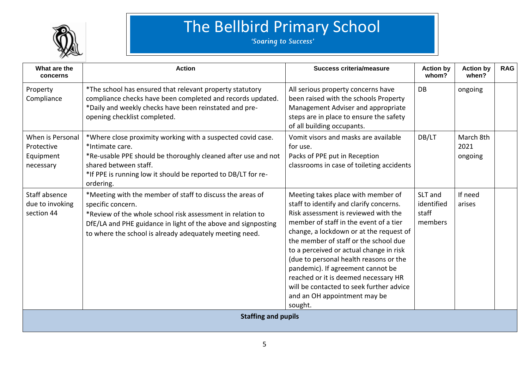

| What are the<br>concerns                                 | <b>Action</b>                                                                                                                                                                                                                                                            | <b>Success criteria/measure</b>                                                                                                                                                                                                                                                                                                                                                                                                                                                                              | <b>Action by</b><br>whom?                 | <b>Action by</b><br>when?    | <b>RAG</b> |  |
|----------------------------------------------------------|--------------------------------------------------------------------------------------------------------------------------------------------------------------------------------------------------------------------------------------------------------------------------|--------------------------------------------------------------------------------------------------------------------------------------------------------------------------------------------------------------------------------------------------------------------------------------------------------------------------------------------------------------------------------------------------------------------------------------------------------------------------------------------------------------|-------------------------------------------|------------------------------|------------|--|
| Property<br>Compliance                                   | *The school has ensured that relevant property statutory<br>compliance checks have been completed and records updated.<br>*Daily and weekly checks have been reinstated and pre-<br>opening checklist completed.                                                         | All serious property concerns have<br>been raised with the schools Property<br>Management Adviser and appropriate<br>steps are in place to ensure the safety<br>of all building occupants.                                                                                                                                                                                                                                                                                                                   | DB                                        | ongoing                      |            |  |
| When is Personal<br>Protective<br>Equipment<br>necessary | *Where close proximity working with a suspected covid case.<br>*Intimate care.<br>*Re-usable PPE should be thoroughly cleaned after use and not<br>shared between staff.<br>*If PPE is running low it should be reported to DB/LT for re-<br>ordering.                   | Vomit visors and masks are available<br>for use.<br>Packs of PPE put in Reception<br>classrooms in case of toileting accidents                                                                                                                                                                                                                                                                                                                                                                               | DB/LT                                     | March 8th<br>2021<br>ongoing |            |  |
| Staff absence<br>due to invoking<br>section 44           | *Meeting with the member of staff to discuss the areas of<br>specific concern.<br>*Review of the whole school risk assessment in relation to<br>DfE/LA and PHE guidance in light of the above and signposting<br>to where the school is already adequately meeting need. | Meeting takes place with member of<br>staff to identify and clarify concerns.<br>Risk assessment is reviewed with the<br>member of staff in the event of a tier<br>change, a lockdown or at the request of<br>the member of staff or the school due<br>to a perceived or actual change in risk<br>(due to personal health reasons or the<br>pandemic). If agreement cannot be<br>reached or it is deemed necessary HR<br>will be contacted to seek further advice<br>and an OH appointment may be<br>sought. | SLT and<br>identified<br>staff<br>members | If need<br>arises            |            |  |
| <b>Staffing and pupils</b>                               |                                                                                                                                                                                                                                                                          |                                                                                                                                                                                                                                                                                                                                                                                                                                                                                                              |                                           |                              |            |  |
|                                                          |                                                                                                                                                                                                                                                                          |                                                                                                                                                                                                                                                                                                                                                                                                                                                                                                              |                                           |                              |            |  |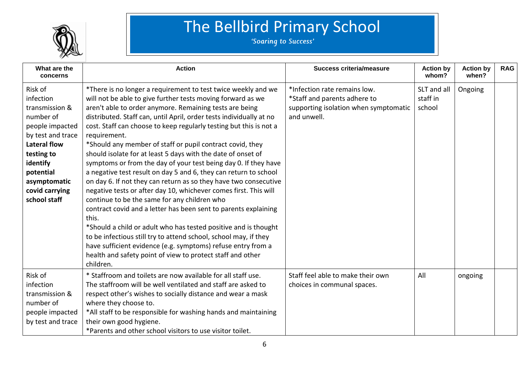

| What are the<br>concerns                                                                                                                                                                                    | <b>Action</b>                                                                                                                                                                                                                                                                                                                                                                                                                                                                                                                                                                                                                                                                                                                                                                                                                                                                                                                                                                                                                                                                                                                                                     | <b>Success criteria/measure</b>                                                                                      | <b>Action by</b><br>whom?         | <b>Action by</b><br>when? | <b>RAG</b> |
|-------------------------------------------------------------------------------------------------------------------------------------------------------------------------------------------------------------|-------------------------------------------------------------------------------------------------------------------------------------------------------------------------------------------------------------------------------------------------------------------------------------------------------------------------------------------------------------------------------------------------------------------------------------------------------------------------------------------------------------------------------------------------------------------------------------------------------------------------------------------------------------------------------------------------------------------------------------------------------------------------------------------------------------------------------------------------------------------------------------------------------------------------------------------------------------------------------------------------------------------------------------------------------------------------------------------------------------------------------------------------------------------|----------------------------------------------------------------------------------------------------------------------|-----------------------------------|---------------------------|------------|
| Risk of<br>infection<br>transmission &<br>number of<br>people impacted<br>by test and trace<br><b>Lateral flow</b><br>testing to<br>identify<br>potential<br>asymptomatic<br>covid carrying<br>school staff | *There is no longer a requirement to test twice weekly and we<br>will not be able to give further tests moving forward as we<br>aren't able to order anymore. Remaining tests are being<br>distributed. Staff can, until April, order tests individually at no<br>cost. Staff can choose to keep regularly testing but this is not a<br>requirement.<br>*Should any member of staff or pupil contract covid, they<br>should isolate for at least 5 days with the date of onset of<br>symptoms or from the day of your test being day 0. If they have<br>a negative test result on day 5 and 6, they can return to school<br>on day 6. If not they can return as so they have two consecutive<br>negative tests or after day 10, whichever comes first. This will<br>continue to be the same for any children who<br>contract covid and a letter has been sent to parents explaining<br>this.<br>*Should a child or adult who has tested positive and is thought<br>to be infectious still try to attend school, school may, if they<br>have sufficient evidence (e.g. symptoms) refuse entry from a<br>health and safety point of view to protect staff and other | *Infection rate remains low.<br>*Staff and parents adhere to<br>supporting isolation when symptomatic<br>and unwell. | SLT and all<br>staff in<br>school | Ongoing                   |            |
|                                                                                                                                                                                                             | children.                                                                                                                                                                                                                                                                                                                                                                                                                                                                                                                                                                                                                                                                                                                                                                                                                                                                                                                                                                                                                                                                                                                                                         |                                                                                                                      |                                   |                           |            |
| Risk of<br>infection<br>transmission &<br>number of<br>people impacted<br>by test and trace                                                                                                                 | * Staffroom and toilets are now available for all staff use.<br>The staffroom will be well ventilated and staff are asked to<br>respect other's wishes to socially distance and wear a mask<br>where they choose to.<br>*All staff to be responsible for washing hands and maintaining<br>their own good hygiene.<br>*Parents and other school visitors to use visitor toilet.                                                                                                                                                                                                                                                                                                                                                                                                                                                                                                                                                                                                                                                                                                                                                                                    | Staff feel able to make their own<br>choices in communal spaces.                                                     | All                               | ongoing                   |            |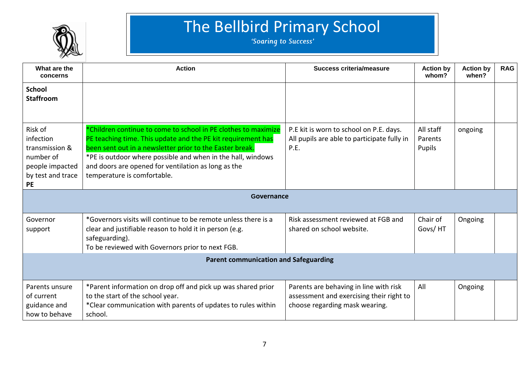

| What are the<br>concerns                                                                                 | <b>Action</b>                                                                                                                                                                                                                                                                                                                                   | <b>Success criteria/measure</b>                                                                                      | <b>Action by</b><br>whom?      | <b>Action by</b><br>when? | <b>RAG</b> |
|----------------------------------------------------------------------------------------------------------|-------------------------------------------------------------------------------------------------------------------------------------------------------------------------------------------------------------------------------------------------------------------------------------------------------------------------------------------------|----------------------------------------------------------------------------------------------------------------------|--------------------------------|---------------------------|------------|
| <b>School</b><br><b>Staffroom</b>                                                                        |                                                                                                                                                                                                                                                                                                                                                 |                                                                                                                      |                                |                           |            |
| Risk of<br>infection<br>transmission &<br>number of<br>people impacted<br>by test and trace<br><b>PE</b> | *Children continue to come to school in PE clothes to maximize<br>PE teaching time. This update and the PE kit requirement has<br>been sent out in a newsletter prior to the Easter break.<br>*PE is outdoor where possible and when in the hall, windows<br>and doors are opened for ventilation as long as the<br>temperature is comfortable. | P.E kit is worn to school on P.E. days.<br>All pupils are able to participate fully in<br>P.E.                       | All staff<br>Parents<br>Pupils | ongoing                   |            |
|                                                                                                          | Governance                                                                                                                                                                                                                                                                                                                                      |                                                                                                                      |                                |                           |            |
| Governor<br>support                                                                                      | *Governors visits will continue to be remote unless there is a<br>clear and justifiable reason to hold it in person (e.g.<br>safeguarding).<br>To be reviewed with Governors prior to next FGB.                                                                                                                                                 | Risk assessment reviewed at FGB and<br>shared on school website.                                                     | Chair of<br>Govs/HT            | Ongoing                   |            |
| <b>Parent communication and Safeguarding</b>                                                             |                                                                                                                                                                                                                                                                                                                                                 |                                                                                                                      |                                |                           |            |
| Parents unsure<br>of current<br>guidance and<br>how to behave                                            | *Parent information on drop off and pick up was shared prior<br>to the start of the school year.<br>*Clear communication with parents of updates to rules within<br>school.                                                                                                                                                                     | Parents are behaving in line with risk<br>assessment and exercising their right to<br>choose regarding mask wearing. | All                            | Ongoing                   |            |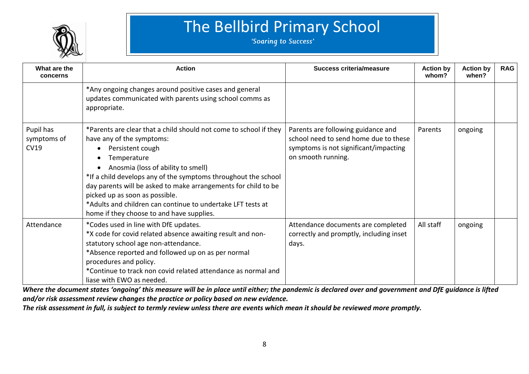

### The Bellbird Primary School<br>
Soaring to Success'

| What are the<br>concerns                | <b>Action</b>                                                                                                                                                                                                                                                                                                                                                                                                                                                                                    | Success criteria/measure                                                                                                                   | <b>Action by</b><br>whom? | <b>Action by</b><br>when? | <b>RAG</b> |
|-----------------------------------------|--------------------------------------------------------------------------------------------------------------------------------------------------------------------------------------------------------------------------------------------------------------------------------------------------------------------------------------------------------------------------------------------------------------------------------------------------------------------------------------------------|--------------------------------------------------------------------------------------------------------------------------------------------|---------------------------|---------------------------|------------|
|                                         | *Any ongoing changes around positive cases and general<br>updates communicated with parents using school comms as<br>appropriate.                                                                                                                                                                                                                                                                                                                                                                |                                                                                                                                            |                           |                           |            |
| Pupil has<br>symptoms of<br><b>CV19</b> | *Parents are clear that a child should not come to school if they<br>have any of the symptoms:<br>Persistent cough<br>$\bullet$<br>Temperature<br>$\bullet$<br>Anosmia (loss of ability to smell)<br>$\bullet$<br>*If a child develops any of the symptoms throughout the school<br>day parents will be asked to make arrangements for child to be<br>picked up as soon as possible.<br>*Adults and children can continue to undertake LFT tests at<br>home if they choose to and have supplies. | Parents are following guidance and<br>school need to send home due to these<br>symptoms is not significant/impacting<br>on smooth running. | Parents                   | ongoing                   |            |
| Attendance                              | *Codes used in line with DfE updates.<br>*X code for covid related absence awaiting result and non-<br>statutory school age non-attendance.<br>*Absence reported and followed up on as per normal<br>procedures and policy.<br>*Continue to track non covid related attendance as normal and<br>liase with EWO as needed.                                                                                                                                                                        | Attendance documents are completed<br>correctly and promptly, including inset<br>days.                                                     | All staff                 | ongoing                   |            |

*Where the document states 'ongoing' this measure will be in place until either; the pandemic is declared over and government and DfE guidance is lifted and/or risk assessment review changes the practice or policy based on new evidence.*

*The risk assessment in full, is subject to termly review unless there are events which mean it should be reviewed more promptly.*